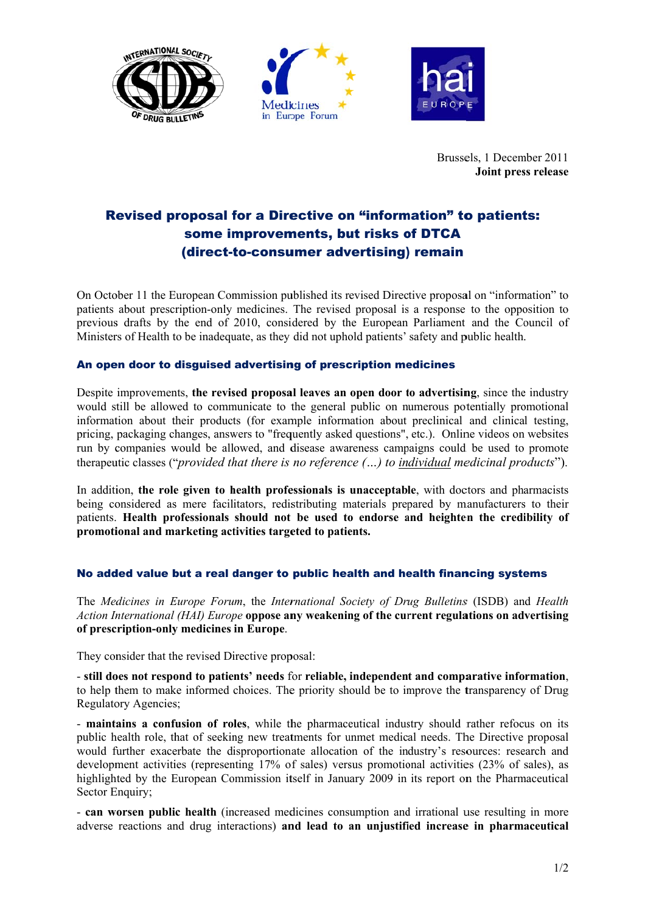





Brussels, 1 December 2011 Joint press release

## **Revised proposal for a Directive on "information" to patients:** some improvements, but risks of DTCA (direct-to-consumer advertising) remain

On October 11 the European Commission published its revised Directive proposal on "information" to patients about prescription-only medicines. The revised proposal is a response to the opposition to previous drafts by the end of 2010, considered by the European Parliament and the Council of Ministers of Health to be inadequate, as they did not uphold patients' safety and public health.

## An open door to disquised advertising of prescription medicines

Despite improvements, the revised proposal leaves an open door to advertising, since the industry would still be allowed to communicate to the general public on numerous potentially promotional information about their products (for example information about preclinical and clinical testing, pricing, packaging changes, answers to "frequently asked questions", etc.). Online videos on websites run by companies would be allowed, and disease awareness campaigns could be used to promote therapeutic classes ("provided that there is no reference  $(...)$  to individual medicinal products").

In addition, the role given to health professionals is unacceptable, with doctors and pharmacists being considered as mere facilitators, redistributing materials prepared by manufacturers to their patients. Health professionals should not be used to endorse and heighten the credibility of promotional and marketing activities targeted to patients.

## No added value but a real danger to public health and health financing systems

The Medicines in Europe Forum, the International Society of Drug Bulletins (ISDB) and Health Action International (HAI) Europe oppose any weakening of the current regulations on advertising of prescription-only medicines in Europe.

They consider that the revised Directive proposal:

- still does not respond to patients' needs for reliable, independent and comparative information, to help them to make informed choices. The priority should be to improve the transparency of Drug **Regulatory Agencies;** 

- maintains a confusion of roles, while the pharmaceutical industry should rather refocus on its public health role, that of seeking new treatments for unmet medical needs. The Directive proposal would further exacerbate the disproportionate allocation of the industry's resources: research and development activities (representing 17% of sales) versus promotional activities (23% of sales), as highlighted by the European Commission itself in January 2009 in its report on the Pharmaceutical Sector Enquiry;

- can worsen public health (increased medicines consumption and irrational use resulting in more adverse reactions and drug interactions) and lead to an unjustified increase in pharmaceutical